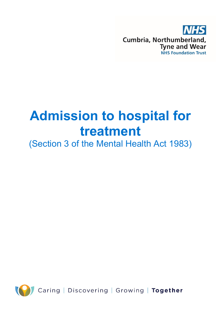

# **Admission to hospital for treatment**

(Section 3 of the Mental Health Act 1983)

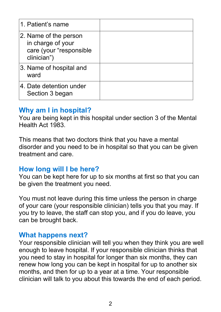| 1. Patient's name                                                                    |  |
|--------------------------------------------------------------------------------------|--|
| 2. Name of the person<br>in charge of your<br>care (your "responsible<br>clinician") |  |
| 3. Name of hospital and<br>ward                                                      |  |
| 4. Date detention under<br>Section 3 began                                           |  |

#### **Why am I in hospital?**

You are being kept in this hospital under section 3 of the Mental Health Act 1983.

This means that two doctors think that you have a mental disorder and you need to be in hospital so that you can be given treatment and care.

#### **How long will I be here?**

You can be kept here for up to six months at first so that you can be given the treatment you need.

You must not leave during this time unless the person in charge of your care (your responsible clinician) tells you that you may. If you try to leave, the staff can stop you, and if you do leave, you can be brought back.

#### **What happens next?**

Your responsible clinician will tell you when they think you are well enough to leave hospital. If your responsible clinician thinks that you need to stay in hospital for longer than six months, they can renew how long you can be kept in hospital for up to another six months, and then for up to a year at a time. Your responsible clinician will talk to you about this towards the end of each period.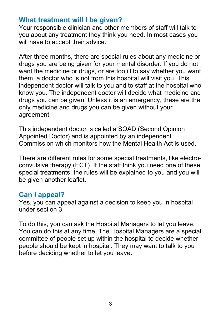## **What treatment will I be given?**

Your responsible clinician and other members of staff will talk to you about any treatment they think you need. In most cases you will have to accept their advice.

After three months, there are special rules about any medicine or drugs you are being given for your mental disorder. If you do not want the medicine or drugs, or are too ill to say whether you want them, a doctor who is not from this hospital will visit you. This independent doctor will talk to you and to staff at the hospital who know you. The independent doctor will decide what medicine and drugs you can be given. Unless it is an emergency, these are the only medicine and drugs you can be given without your agreement.

This independent doctor is called a SOAD (Second Opinion Appointed Doctor) and is appointed by an independent Commission which monitors how the Mental Health Act is used.

There are different rules for some special treatments, like electroconvulsive therapy (ECT). If the staff think you need one of these special treatments, the rules will be explained to you and you will be given another leaflet.

#### **Can I appeal?**

Yes, you can appeal against a decision to keep you in hospital under section 3.

To do this, you can ask the Hospital Managers to let you leave. You can do this at any time. The Hospital Managers are a special committee of people set up within the hospital to decide whether people should be kept in hospital. They may want to talk to you before deciding whether to let you leave.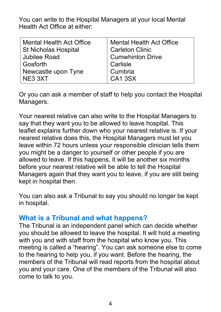You can write to the Hospital Managers at your local Mental Health Act Office at either:

| <b>Mental Health Act Office</b> | <b>Mental Health Act Office</b> |
|---------------------------------|---------------------------------|
| <b>St Nicholas Hospital</b>     | <b>Carleton Clinic</b>          |
| <b>Jubilee Road</b>             | <b>Cumwhinton Drive</b>         |
| Gosforth                        | Carlisle                        |
| Newcastle upon Tyne             | Cumbria                         |
| NE3 3XT                         | <b>CA13SX</b>                   |

Or you can ask a member of staff to help you contact the Hospital Managers.

Your nearest relative can also write to the Hospital Managers to say that they want you to be allowed to leave hospital. This leaflet explains further down who your nearest relative is. If your nearest relative does this, the Hospital Managers must let you leave within 72 hours unless your responsible clinician tells them you might be a danger to yourself or other people if you are allowed to leave. If this happens, it will be another six months before your nearest relative will be able to tell the Hospital Managers again that they want you to leave, if you are still being kept in hospital then.

You can also ask a Tribunal to say you should no longer be kept in hospital.

## **What is a Tribunal and what happens?**

The Tribunal is an independent panel which can decide whether you should be allowed to leave the hospital. It will hold a meeting with you and with staff from the hospital who know you. This meeting is called a "hearing". You can ask someone else to come to the hearing to help you, if you want. Before the hearing, the members of the Tribunal will read reports from the hospital about you and your care. One of the members of the Tribunal will also come to talk to you.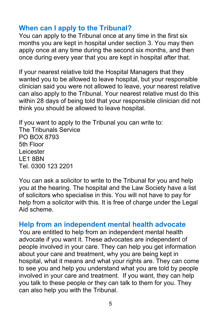## **When can I apply to the Tribunal?**

You can apply to the Tribunal once at any time in the first six months you are kept in hospital under section 3. You may then apply once at any time during the second six months, and then once during every year that you are kept in hospital after that.

If your nearest relative told the Hospital Managers that they wanted you to be allowed to leave hospital, but your responsible clinician said you were not allowed to leave, your nearest relative can also apply to the Tribunal. Your nearest relative must do this within 28 days of being told that your responsible clinician did not think you should be allowed to leave hospital.

If you want to apply to the Tribunal you can write to: The Tribunals Service PO BOX 8793 5th Floor Leicester LE1 8BN Tel. 0300 123 2201

You can ask a solicitor to write to the Tribunal for you and help you at the hearing. The hospital and the Law Society have a list of solicitors who specialise in this. You will not have to pay for help from a solicitor with this. It is free of charge under the Legal Aid scheme.

#### **Help from an independent mental health advocate**

You are entitled to help from an independent mental health advocate if you want it. These advocates are independent of people involved in your care. They can help you get information about your care and treatment, why you are being kept in hospital, what it means and what your rights are. They can come to see you and help you understand what you are told by people involved in your care and treatment. If you want, they can help you talk to these people or they can talk to them for you. They can also help you with the Tribunal.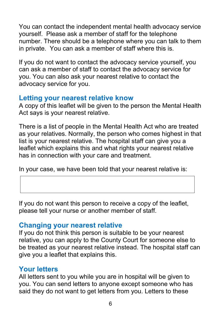You can contact the independent mental health advocacy service yourself. Please ask a member of staff for the telephone number. There should be a telephone where you can talk to them in private. You can ask a member of staff where this is.

If you do not want to contact the advocacy service yourself, you can ask a member of staff to contact the advocacy service for you. You can also ask your nearest relative to contact the advocacy service for you.

## **Letting your nearest relative know**

A copy of this leaflet will be given to the person the Mental Health Act says is your nearest relative.

There is a list of people in the Mental Health Act who are treated as your relatives. Normally, the person who comes highest in that list is your nearest relative. The hospital staff can give you a leaflet which explains this and what rights your nearest relative has in connection with your care and treatment.

In your case, we have been told that your nearest relative is:

If you do not want this person to receive a copy of the leaflet, please tell your nurse or another member of staff.

## **Changing your nearest relative**

If you do not think this person is suitable to be your nearest relative, you can apply to the County Court for someone else to be treated as your nearest relative instead. The hospital staff can give you a leaflet that explains this.

## **Your letters**

All letters sent to you while you are in hospital will be given to you. You can send letters to anyone except someone who has said they do not want to get letters from you. Letters to these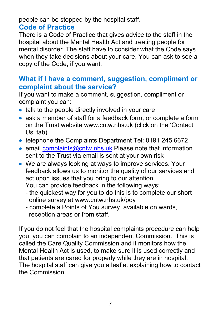people can be stopped by the hospital staff.

## **Code of Practice**

There is a Code of Practice that gives advice to the staff in the hospital about the Mental Health Act and treating people for mental disorder. The staff have to consider what the Code says when they take decisions about your care. You can ask to see a copy of the Code, if you want.

## **What if I have a comment, suggestion, compliment or complaint about the service?**

If you want to make a comment, suggestion, compliment or complaint you can:

- talk to the people directly involved in your care
- ask a member of staff for a feedback form, or complete a form on the Trust website www.cntw.nhs.uk (click on the 'Contact Us' tab)
- telephone the Complaints Department Tel: 0191 245 6672
- email [complaints@cntw.nhs.uk](mailto:complaints@cntw.nhs.uk) Please note that information sent to the Trust via email is sent at your own risk
- We are always looking at ways to improve services. Your feedback allows us to monitor the quality of our services and act upon issues that you bring to our attention. You can provide feedback in the following ways:
	- the quickest way for you to do this is to complete our short online survey at www.cntw.nhs.uk/poy
	- complete a Points of You survey, available on wards, reception areas or from staff.

If you do not feel that the hospital complaints procedure can help you, you can complain to an independent Commission. This is called the Care Quality Commission and it monitors how the Mental Health Act is used, to make sure it is used correctly and that patients are cared for properly while they are in hospital. The hospital staff can give you a leaflet explaining how to contact the Commission.